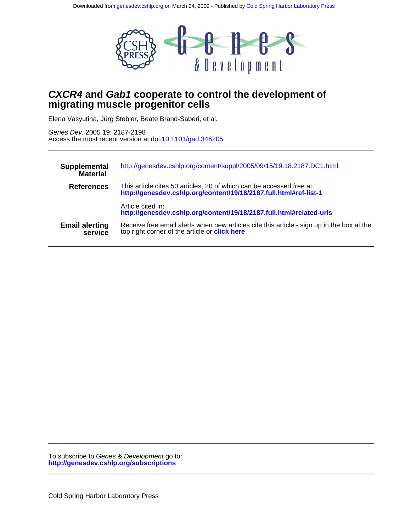

# **migrating muscle progenitor cells CXCR4 and Gab1 cooperate to control the development of**

Elena Vasyutina, Jürg Stebler, Beate Brand-Saberi, et al.

Access the most recent version at doi[:10.1101/gad.346205](http://genesdev.cshlp.org/lookup/doi/10.1101/gad.346205) Genes Dev. 2005 19: 2187-2198

| Supplemental<br><b>Material</b>  | http://genesdev.cshlp.org/content/suppl/2005/09/15/19.18.2187.DC1.html                                                                            |
|----------------------------------|---------------------------------------------------------------------------------------------------------------------------------------------------|
| <b>References</b>                | This article cites 50 articles, 20 of which can be accessed free at:<br>http://genesdev.cshlp.org/content/19/18/2187.full.html#ref-list-1         |
|                                  | Article cited in:<br>http://genesdev.cshlp.org/content/19/18/2187.full.html#related-urls                                                          |
| <b>Email alerting</b><br>service | Receive free email alerts when new articles cite this article - sign up in the box at the<br>top right corner of the article or <b>click here</b> |

**<http://genesdev.cshlp.org/subscriptions>** To subscribe to Genes & Development go to: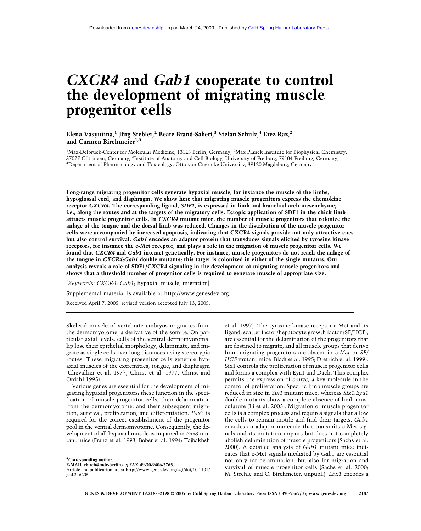# *CXCR4* **and** *Gab1* **cooperate to control the development of migrating muscle progenitor cells**

**Elena Vasyutina,1 Jürg Stebler,2 Beate Brand-Saberi,3 Stefan Schulz,4 Erez Raz,2** and Carmen Birchmeier<sup>1,5</sup>

<sup>1</sup>Max-Delbrück-Center for Molecular Medicine, 13125 Berlin, Germany; <sup>2</sup>Max Planck Institute for Biophysical Chemistry, 37077 Göttingen, Germany; <sup>3</sup>Institute of Anatomy and Cell Biology, University of Freiburg, 79104 Freiburg, Germany; 4 Department of Pharmacology and Toxicology, Otto-von-Guericke University, 39120 Magdeburg, Germany.

**Long-range migrating progenitor cells generate hypaxial muscle, for instance the muscle of the limbs, hypoglossal cord, and diaphragm. We show here that migrating muscle progenitors express the chemokine receptor** *CXCR4***. The corresponding ligand,** *SDF1***, is expressed in limb and branchial arch mesenchyme; i.e., along the routes and at the targets of the migratory cells. Ectopic application of SDF1 in the chick limb attracts muscle progenitor cells. In** *CXCR4* **mutant mice, the number of muscle progenitors that colonize the anlage of the tongue and the dorsal limb was reduced. Changes in the distribution of the muscle progenitor cells were accompanied by increased apoptosis, indicating that CXCR4 signals provide not only attractive cues but also control survival.** *Gab1* **encodes an adaptor protein that transduces signals elicited by tyrosine kinase receptors, for instance the c-Met receptor, and plays a role in the migration of muscle progenitor cells. We found that** *CXCR4* **and** *Gab1* **interact genetically. For instance, muscle progenitors do not reach the anlage of the tongue in** *CXCR4;Gab1* **double mutants; this target is colonized in either of the single mutants. Our analysis reveals a role of SDF1/CXCR4 signaling in the development of migrating muscle progenitors and shows that a threshold number of progenitor cells is required to generate muscle of appropriate size.**

[*Keywords*: *CXCR4*; *Gab1*; hypaxial muscle; migration] Supplemental material is available at http://www.genesdev.org. Received April 7, 2005; revised version accepted July 13, 2005.

Skeletal muscle of vertebrate embryos originates from the dermomyotome, a derivative of the somite. On particular axial levels, cells of the ventral dermomyotomal lip lose their epithelial morphology, delaminate, and migrate as single cells over long distances using stereotypic routes. These migrating progenitor cells generate hypaxial muscles of the extremities, tongue, and diaphragm (Chevallier et al. 1977; Christ et al. 1977; Christ and Ordahl 1995).

Various genes are essential for the development of migrating hypaxial progenitors; these function in the specification of muscle progenitor cells, their delamination from the dermomyotome, and their subsequent migration, survival, proliferation, and differentiation. *Pax3* is required for the correct establishment of the progenitor pool in the ventral dermomyotome. Consequently, the development of all hypaxial muscle is impaired in *Pax3* mutant mice (Franz et al. 1993; Bober et al. 1994; Tajbakhsh

**5 Corresponding author.**

**E-MAIL cbirch@mdc-berlin.de; FAX 49-30-9406-3765.**

et al. 1997). The tyrosine kinase receptor c-Met and its ligand, scatter factor/hepatocyte growth factor (SF/HGF), are essential for the delamination of the progenitors that are destined to migrate, and all muscle groups that derive from migrating progenitors are absent in *c-Met* or *SF/ HGF* mutant mice (Bladt et al. 1995; Dietrich et al. 1999). Six1 controls the proliferation of muscle progenitor cells and forms a complex with Eya1 and Dach. This complex permits the expression of *c-myc*, a key molecule in the control of proliferation. Specific limb muscle groups are reduced in size in *Six1* mutant mice, whereas *Six1;Eya1* double mutants show a complete absence of limb musculature (Li et al. 2003). Migration of muscle progenitor cells is a complex process and requires signals that allow the cells to remain motile and find their targets. *Gab1* encodes an adaptor molecule that transmits c-Met signals and its mutation impairs but does not completely abolish delamination of muscle progenitors (Sachs et al. 2000). A detailed analysis of *Gab1* mutant mice indicates that c-Met signals mediated by Gab1 are essential not only for delamination, but also for migration and survival of muscle progenitor cells (Sachs et al. 2000; M. Strehle and C. Birchmeier, unpubl.). *Lbx1* encodes a

Article and publication are at http://www.genesdev.org/cgi/doi/10.1101/ gad.346205.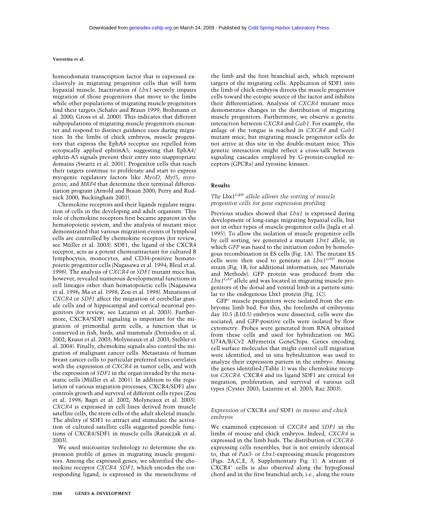homeodomain transcription factor that is expressed exclusively in migrating progenitor cells that will form hypaxial muscle. Inactivation of *Lbx1* severely impairs migration of those progenitors that move to the limbs while other populations of migrating muscle progenitors find their targets (Schafer and Braun 1999; Brohmann et al. 2000; Gross et al. 2000). This indicates that different subpopulations of migrating muscle progenitors encounter and respond to distinct guidance cues during migration. In the limbs of chick embryos, muscle progenitors that express the EphA4 receptor are repelled from ectopically applied ephrinA5, suggesting that EphA4/ ephrin-A5 signals prevent their entry into inappropriate domains (Swartz et al. 2001). Progenitor cells that reach their targets continue to proliferate and start to express myogenic regulatory factors like *MyoD*, *Myf5*, *myogenin*, and *MRF4* that determine their terminal differentiation program (Arnold and Braun 2000; Perry and Rudnick 2000; Buckingham 2001).

Chemokine receptors and their ligands regulate migration of cells in the developing and adult organism. This role of chemokine receptors first became apparent in the hematopoietic system, and the analysis of mutant mice demonstrated that various migration events of lymphoid cells are controlled by chemokine receptors (for review, see Müller et al. 2003). SDF1, the ligand of the CXCR4 receptor, acts as a potent chemoattractant for cultured B lymphocytes, monocytes, and CD34-positive hematopoietic progenitor cells (Nagasawa et al. 1994; Bleul et al. 1996). The analysis of *CXCR4* or *SDF1* mutant mice has, however, revealed numerous developmental functions in cell lineages other than hematopoietic cells (Nagasawa et al. 1996; Ma et al. 1998; Zou et al. 1998). Mutations of *CXCR4* or *SDF1* affect the migration of cerebellar granule cells and of hippocampal and cortical neuronal progenitors (for review, see Lazarini et al. 2003). Furthermore, CXCR4/SDF1 signaling is important for the migration of primordial germ cells, a function that is conserved in fish, birds, and mammals (Doitsidou et al. 2002; Knaut et al. 2003; Molyneaux et al. 2003; Stebler et al. 2004). Finally, chemokine signals also control the migration of malignant cancer cells. Metastasis of human breast cancer cells to particular preferred sites correlates with the expression of *CXCR4* in tumor cells, and with the expression of *SDF1* in the organ invaded by the metastatic cells (Müller et al. 2001). In addition to the regulation of various migration processes, CXCR4/SDF1 also controls growth and survival of different cells types (Zou et al. 1998; Bagri et al. 2002; Molyneaux et al. 2003). *CXCR4* is expressed in cell lines derived from muscle satellite cells, the stem cells of the adult skeletal muscle. The ability of SDF1 to attract and stimulate the activation of cultured satellite cells suggested possible functions of CXCR4/SDF1 in muscle cells (Ratajczak et al. 2003).

We used microarray technology to determine the expression profile of genes in migrating muscle progenitors. Among the expressed genes, we identified the chemokine receptor *CXCR4*. *SDF1*, which encodes the corresponding ligand, is expressed in the mesenchyme of the limb and the first branchial arch, which represent targets of the migrating cells. Application of SDF1 into the limb of chick embryos directs the muscle progenitor cells toward the ectopic source of the factor and inhibits their differentiation. Analysis of *CXCR4* mutant mice demonstrates changes in the distribution of migrating muscle progenitors. Furthermore, we observe a genetic interaction between *CXCR4* and *Gab1*. For example, the anlage of the tongue is reached in *CXCR4* and *Gab1* mutant mice, but migrating muscle progenitor cells do not arrive at this site in the double-mutant mice. This genetic interaction might reflect a cross-talk between signaling cascades employed by G-protein-coupled receptors (GPCRs) and tyrosine kinases.

#### **Results**

# *The* Lbx1GFP *allele allows the sorting of muscle progenitor cells for gene expression profiling*

Previous studies showed that *Lbx1* is expressed during development of long-range migrating hypaxial cells, but not in other types of muscle progenitor cells (Jagla et al. 1995). To allow the isolation of muscle progenitor cells by cell sorting, we generated a mutant *Lbx1* allele, in which *GFP* was fused to the initiation codon by homologous recombination in ES cells (Fig. 1A). The mutant ES cells were then used to generate an *Lbx1GFP* mouse strain (Fig. 1B; for additional information, see Materials and Methods). GFP protein was produced from the *Lbx1GFP* allele and was located in migrating muscle progenitors of the dorsal and ventral limb in a pattern similar to the endogenous Lbx1 protein (Fig. 1C).

GFP+ muscle progenitors were isolated from the embryonic limb bud. For this, the forelimbs of embryonic day 10.5 (E10.5) embryos were dissected, cells were dissociated, and GFP-positive cells were isolated by flow cytometry. Probes were generated from RNA obtained from these cells and used for hybridization on MG U74A/B/Cv2 Affymetrix GeneChips. Genes encoding cell surface molecules that might control cell migration were identified, and in situ hybridization was used to analyze their expression pattern in the embryo. Among the genes identified (Table 1) was the chemokine receptor *CXCR4*. CXCR4 and its ligand SDF1 are critical for migration, proliferation, and survival of various cell types (Cyster 2003; Lazarini et al. 2003; Raz 2003).

# *Expression of* CXCR4 *and* SDF1 *in mouse and chick embryos*

We examined expression of *CXCR4* and *SDF1* in the limbs of mouse and chick embryos. Indeed, *CXCR4* is expressed in the limb buds. The distribution of *CXCR4* expressing cells resembles, but is not entirely identical to, that of *Pax3*- or *Lbx1*-expressing muscle progenitors (Figs. 2A,C,E, 3; Supplementary Fig. 1). A stream of CXCR4<sup>+</sup> cells is also observed along the hypoglossal chord and in the first branchial arch; i.e., along the route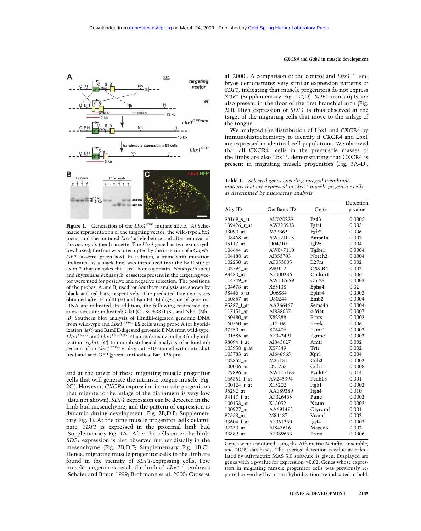

**Figure 1.** Generation of the *Lbx1GFP* mutant allele. (*A*) Schematic representation of the targeting vector, the wild-type *Lbx1* locus, and the mutated *Lbx1* allele before and after removal of the *neomycin* (neo) cassette. The *Lbx1* gene has two exons (yellow boxes); the first was interrupted by the insertion of a *Gap43- GFP* cassette (green box). In addition, a frame-shift mutation (indicated by a black line) was introduced into the BglII site of exon 2 that encodes the Lbx1 homeodomain. *Neomycin* (neo) and *thymidine kinase* (tk) cassettes present in the targeting vector were used for positive and negative selection. The positions of the probes, A and B, used for Southern analysis are shown by black and red bars, respectively. The predicted fragment sizes obtained after HindIII (H) and BamHI (B) digestion of genomic DNA are indicated. In addition, the following restriction enzyme sites are indicated: ClaI (C), Sse8387I (S), and NheI (Nh). (*B*) Southern blot analysis of HindIII-digested genomic DNA from wild-type and *Lbx1GFP/+* ES cells using probe A for hybridization (*left*) and BamHI-digested genomic DNA from wild-type, *Lbx1GFP/+*, and *Lbx1GFP/GFP* F1 animals using probe B for hybridization (*right*). (*C*) Immunohistological analysis of a forelimb section of an *Lbx1GFP/+* embryo at E10 stained with anti-Lbx1 (red) and anti-GFP (green) antibodies. Bar, 125 µm.

and at the target of those migrating muscle progenitor cells that will generate the intrinsic tongue muscle (Fig. 2G). However, *CXCR4* expression in muscle progenitors that migrate to the anlage of the diaphragm is very low (data not shown). *SDF1* expression can be detected in the limb bud mesenchyme, and the pattern of expression is dynamic during development (Fig. 2B,D,F; Supplementary Fig. 1). At the time muscle progenitor cells delaminate, *SDF1* is expressed in the proximal limb bud (Supplementary Fig. 1A). After the cells enter the limb, *SDF1* expression is also observed further distally in the mesenchyme (Fig. 2B,D,F; Supplementary Fig. 1B,C). Hence, migrating muscle progenitor cells in the limb are found in the vicinity of *SDF1*-expressing cells. Few muscle progenitors reach the limb of *Lbx1−/−* embryos (Schafer and Braun 1999; Brohmann et al. 2000; Gross et

#### *CXCR4* **and** *Gab1* **in muscle development**

al. 2000). A comparison of the control and *Lbx1−/−* embryos demonstrates very similar expression patterns of *SDF1*, indicating that muscle progenitors do not express *SDF1* (Supplementary Fig. 1C,D). *SDF1* transcripts are also present in the floor of the first branchial arch (Fig. 2H). High expression of *SDF1* is thus observed at the target of the migrating cells that move to the anlage of the tongue.

We analyzed the distribution of Lbx1 and CXCR4 by immunohistochemistry to identify if CXCR4 and Lbx1 are expressed in identical cell populations. We observed that all CXCR4+ cells in the premuscle masses of the limbs are also Lbx1<sup>+</sup>, demonstrating that CXCR4 is present in migrating muscle progenitors (Fig. 3A–D).

**Table 1.** *Selected genes encoding integral membrane proteins that are expressed in Lbx1+ muscle progenitor cells, as determined by microarray analysis*

| Affy ID     | GenBank ID | Gene               | Detection<br>p-value |
|-------------|------------|--------------------|----------------------|
| 98169_s_at  | AU020229   | Fzd3               | 0.0005               |
| 139426_r_at | AW228933   | Fgfr1              | 0.003                |
| 93090_at    | M23362     | Fgfr2              | 0.006                |
| 108468 at   | AW121015   | Bmpr1a             | 0.002                |
| 95117_at    | U04710     | Igf2r              | 0.004                |
| 106644_at   | AW047110   | Tgfbrl             | 0.0004               |
| 104188_at   | AI853703   | Notch <sub>2</sub> | 0.0004               |
| 102250_at   | AF053005   | I127ra             | 0.002                |
| 102794 at   | Z80112     | <b>CXCR4</b>       | 0.002                |
| 93430_at    | AF000236   | Cmkor1             | 0.006                |
| 114749_at   | AW107659   | Gpr23              | 0.0003               |
| 104673_at   | X65138     | Epha4              | 0.02                 |
| 98446_s_at  | U06834     | Ephb4              | 0.0002               |
| 160857 at   | U30244     | Efnb <sub>2</sub>  | 0.0004               |
| 95387_f_at  | AA266467   | Sema4 <sub>b</sub> | 0.0004               |
| 117151 at   | AI838057   | c-Met              | 0.0007               |
| 160480 at   | X82288     | Ptprs              | 0.0002               |
| 160760 at   | L10106     | Ptprk              | 0.006                |
| 97750_at    | X06406     | Lamrl              | 0.0002               |
| 101585_at   | AF042491   | Pgrmc1             | 0.0002               |
| 98094 f at  | AI843627   | Amfr               | 0.002                |
| 103958_g_at | X57349     | Trfr               | 0.002                |
| 103783 at   | AI648965   | Xpr1               | 0.004                |
| 102852_at   | M31131     | Cdh2               | 0.0002               |
| 100006_at   | D21253     | Cdh11              | 0.0008               |
| 129896_at   | AW125163   | Pcdh17             | 0.014                |
| 166351_f_at | AV245394   | Pcdh18             | 0.001                |
| 100124_r_at | X15202     | Itgb1              | 0.0002               |
| 95292_at    | AA189389   | Itga4              | 0.010                |
| 94117_f_at  | AF026465   | Punc               | 0.0002               |
| 100153_at   | X15052     | <b>Ncam</b>        | 0.0002               |
| 100977_at   | AA691492   | Glycam1            | 0.001                |
| 92558_at    | M84487     | Vcam1              | 0.002                |
| 93604 f_at  | AF061260   | Igsf4              | 0.0002               |
| 92270 at    | AI847616   | Maged3             | 0.002                |
| 93389 at    | AF039663   | Prom               | 0.0006               |
|             |            |                    |                      |

Genes were annotated using the Affymetric Netaffy, Ensemble, and NCBI databases. The average detection p-value as calculated by Affymetrix MAS 5.0 software is given. Displayed are genes with a p-value for expression  $\leq 0.02$ . Genes whose expression in migrating muscle progenitor cells was previously reported or verified by in situ hybridization are indicated in bold.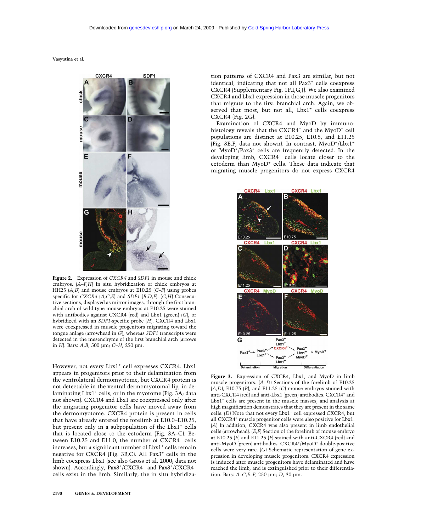

**Figure 2.** Expression of *CXCR4* and *SDF1* in mouse and chick embryos. (*A*–*F*,*H*) In situ hybridization of chick embryos at HH25 (*A*,*B*) and mouse embryos at E10.25 (*C*–*F*) using probes specific for *CXCR4* (*A*,*C*,*E*) and *SDF1* (*B*,*D*,*F*). (*G*,*H*) Consecutive sections, displayed as mirror images, through the first branchial arch of wild-type mouse embryos at E10.25 were stained with antibodies against CXCR4 (red) and Lbx1 (green) (*G*), or hybridized with an *SDF1*-specific probe (*H*). CXCR4 and Lbx1 were coexpressed in muscle progenitors migrating toward the tongue anlage (arrowhead in *G*), whereas *SDF1* transcripts were detected in the mesenchyme of the first branchial arch (arrows in *H*). Bars: *A*,*B*, 500 µm; *C*–*H*, 250 µm.

However, not every Lbx1<sup>+</sup> cell expresses CXCR4. Lbx1 appears in progenitors prior to their delamination from the ventrolateral dermomyotome, but CXCR4 protein is not detectable in the ventral dermomyotomal lip, in delaminating  $Lbx1^+$  cells, or in the myotome (Fig. 3A; data not shown). CXCR4 and Lbx1 are coexpressed only after the migrating progenitor cells have moved away from the dermomyotome. CXCR4 protein is present in cells that have already entered the forelimb at E10.0–E10.25, but present only in a subpopulation of the Lbx1<sup>+</sup> cells that is located close to the ectoderm (Fig. 3A–C). Between E10.25 and E11.0, the number of CXCR4<sup>+</sup> cells increases, but a significant number of Lbx1<sup>+</sup> cells remain negative for CXCR4 (Fig. 3B,C). All Pax3+ cells in the limb coexpress Lbx1 (see also Gross et al. 2000; data not shown). Accordingly, Pax3<sup>+</sup>/CXCR4<sup>+</sup> and Pax3<sup>+</sup>/CXCR4<sup>-</sup> cells exist in the limb. Similarly, the in situ hybridization patterns of CXCR4 and Pax3 are similar, but not identical, indicating that not all Pax3<sup>+</sup> cells coexpress CXCR4 (Supplementary Fig. 1F,I,G,J). We also examined CXCR4 and Lbx1 expression in those muscle progenitors that migrate to the first branchial arch. Again, we observed that most, but not all, Lbx1<sup>+</sup> cells coexpress CXCR4 (Fig. 2G).

Examination of CXCR4 and MyoD by immunohistology reveals that the  $CXCR4^+$  and the  $MyoD^+$  cell populations are distinct at E10.25, E10.5, and E11.25 (Fig. 3E,F; data not shown). In contrast, MyoD+/Lbx1+ or MyoD+ /Pax3+ cells are frequently detected. In the developing limb, CXCR4<sup>+</sup> cells locate closer to the ectoderm than MyoD<sup>+</sup> cells. These data indicate that migrating muscle progenitors do not express CXCR4



**Figure 3.** Expression of CXCR4, Lbx1, and MyoD in limb muscle progenitors. (*A*–*D*) Sections of the forelimb of E10.25 (*A*,*D*), E10.75 (*B*), and E11.25 (*C*) mouse embryos stained with anti-CXCR4 (red) and anti-Lbx1 (green) antibodies. CXCR4+ and Lbx1<sup>+</sup> cells are present in the muscle masses, and analysis at high magnification demonstrates that they are present in the same cells. (*D*) Note that not every Lbx1<sup>+</sup> cell expressed CXCR4, but all CXCR4<sup>+</sup> muscle progenitor cells were also positive for Lbx1. (*A*) In addition, CXCR4 was also present in limb endothelial cells (arrowhead). (*E*,*F*) Section of the forelimb of mouse embryo at E10.25 (*E*) and E11.25 (*F*) stained with anti-CXCR4 (red) and anti-MyoD (green) antibodies. CXCR4+/MyoD+ double-positive cells were very rare. (*G*) Schematic representation of gene expression in developing muscle progenitors. CXCR4 expression is induced after muscle progenitors have delaminated and have reached the limb, and is extinguished prior to their differentiation. Bars: *A*–*C*,*E*–*F*, 250 µm; *D*, 30 µm.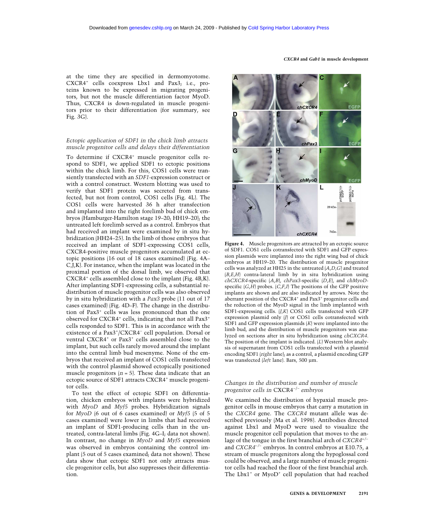*CXCR4* **and** *Gab1* **in muscle development**

at the time they are specified in dermomyotome. CXCR4+ cells coexpress Lbx1 and Pax3; i.e., proteins known to be expressed in migrating progenitors, but not the muscle differentiation factor MyoD. Thus, CXCR4 is down-regulated in muscle progenitors prior to their differentiation (for summary, see Fig. 3G).

## *Ectopic application of SDF1 in the chick limb attracts muscle progenitor cells and delays their differentiation*

To determine if CXCR4<sup>+</sup> muscle progenitor cells respond to SDF1, we applied SDF1 to ectopic positions within the chick limb. For this, COS1 cells were transiently transfected with an *SDF1*-expression construct or with a control construct. Western blotting was used to verify that SDF1 protein was secreted from transfected, but not from control, COS1 cells (Fig. 4L). The COS1 cells were harvested 36 h after transfection and implanted into the right forelimb bud of chick embryos (Hamburger-Hamilton stage 19–20; HH19–20); the untreated left forelimb served as a control. Embryos that had received an implant were examined by in situ hybridization (HH24–25). In the limb of those embryos that received an implant of SDF1-expressing COS1 cells, CXCR4-positive muscle progenitors accumulated at ectopic positions (16 out of 18 cases examined) (Fig. 4A– C,J,K). For instance, when the implant was located in the proximal portion of the dorsal limb, we observed that CXCR4+ cells assembled close to the implant (Fig. 4B,K). After implanting SDF1-expressing cells, a substantial redistribution of muscle progenitor cells was also observed by in situ hybridization with a *Pax3* probe (11 out of 17 cases examined) (Fig. 4D–F). The change in the distribution of Pax3+ cells was less pronounced than the one observed for CXCR4<sup>+</sup> cells, indicating that not all Pax3<sup>+</sup> cells responded to SDF1. This is in accordance with the existence of a Pax3<sup>+</sup> /CXCR4− cell population. Dorsal or ventral CXCR4+ or Pax3+ cells assembled close to the implant, but such cells rarely moved around the implant into the central limb bud mesenyme. None of the embryos that received an implant of COS1 cells transfected with the control plasmid showed ectopically positioned muscle progenitors  $(n = 5)$ . These data indicate that an ectopic source of SDF1 attracts CXCR4<sup>+</sup> muscle progenitor cells.

To test the effect of ectopic SDF1 on differentiation, chicken embryos with implants were hybridized with *MyoD* and *Myf5* probes. Hybridization signals for *MyoD* (6 out of 6 cases examined) or *Myf5* (5 of 5 cases examined) were lower in limbs that had received an implant of SDF1-producing cells than in the untreated, contra-lateral limbs (Fig. 4G–I; data not shown). In contrast, no change in *MyoD* and *Myf5* expression was observed in embryos containing the control implant (5 out of 5 cases examined; data not shown). These data show that ectopic SDF1 not only attracts muscle progenitor cells, but also suppresses their differentiation.



**Figure 4.** Muscle progenitors are attracted by an ectopic source of SDF1. COS1 cells cotransfected with SDF1 and GFP expression plasmids were implanted into the right wing bud of chick embryos at HH19–20. The distribution of muscle progenitor cells was analyzed at HH25 in the untreated (*A*,*D*,*G*) and treated (*B*,*E*,*H*) contra-lateral limb by in situ hybridization using *chCXCR4*-specific (*A*,*B*), *chPax3*-specific (*D*,*E*), and *chMyoD*specific  $(G,H)$  probes.  $(C,F,I)$  The positions of the GFP positive implants are shown and are also indicated by arrows. Note the aberrant position of the CXCR4<sup>+</sup> and Pax3<sup>+</sup> progenitor cells and the reduction of the MyoD signal in the limb implanted with SDF1-expressing cells. (*J*,*K*) COS1 cells transfected with GFP expression plasmid only (*J*) or COS1 cells cotransfected with SDF1 and GFP expression plasmids (*K*) were implanted into the limb bud, and the distribution of muscle progenitors was analyzed on sections after in situ hybridization using *chCXCR4*. The position of the implant is indicated. (*L*) Western blot analysis of supernatant from COS1 cells transfected with a plasmid encoding SDF1 (*right* lane); as a control, a plasmid encoding GFP was transfected (*left* lane). Bars, 500 µm.

# *Changes in the distribution and number of muscle progenitor cells in* CXCR4−/− *embryos*

We examined the distribution of hypaxial muscle progenitor cells in mouse embryos that carry a mutation in the *CXCR4* gene. The *CXCR4* mutant allele was described previously (Ma et al. 1998). Antibodies directed against Lbx1 and MyoD were used to visualize the muscle progenitor cell population that moves to the anlage of the tongue in the first branchial arch of *CXCR4+/−* and *CXCR4−/−* embryos. In control embryos at E10.75, a stream of muscle progenitors along the hypoglossal cord could be observed, and a large number of muscle progenitor cells had reached the floor of the first branchial arch. The  $Lbx1^+$  or  $MyoD^+$  cell population that had reached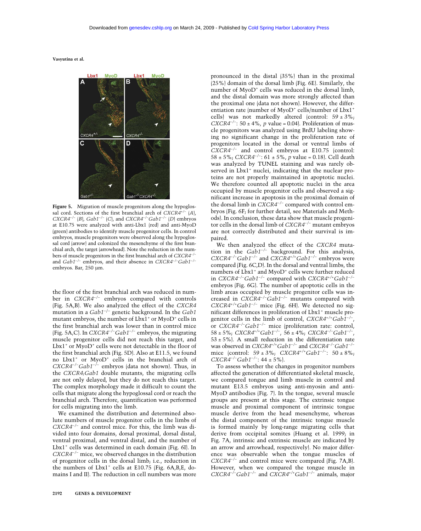

**Figure 5.** Migration of muscle progenitors along the hypoglossal cord. Sections of the first branchial arch of *CXCR4+/−* (*A*), *CXCR4−/−* (*B*), *Gab1−/−* (*C*), and *CXCR4−/− Gab1−/−* (*D*) embryos at E10.75 were analyzed with anti-Lbx1 (red) and anti-MyoD (green) antibodies to identify muscle progenitor cells. In control embryos, muscle progenitors were observed along the hypoglossal cord (arrow) and colonized the mesenchyme of the first branchial arch, the target (arrowhead). Note the reduction in the numbers of muscle progenitors in the first branchial arch of *CXCR4−/−* and *Gab1−/−* embryos, and their absence in *CXCR4−/− Gab1−/−* embryos. Bar, 250 µm.

the floor of the first branchial arch was reduced in number in *CXCR4−/−* embryos compared with controls (Fig. 5A,B). We also analyzed the effect of the *CXCR4* mutation in a *Gab1*−/− genetic background. In the *Gab1* mutant embryos, the number of Lbx1<sup>+</sup> or MyoD<sup>+</sup> cells in the first branchial arch was lower than in control mice (Fig. 5A,C). In *CXCR4−/− Gab1−/−* embryos, the migrating muscle progenitor cells did not reach this target, and  $Lbx1^+$  or MyoD<sup>+</sup> cells were not detectable in the floor of the first branchial arch (Fig. 5D). Also at E11.5, we found no Lbx1+ or MyoD+ cells in the branchial arch of *CXCR4−/− Gab1−/−* embryos (data not shown). Thus, in the *CXCR4;Gab1* double mutants, the migrating cells are not only delayed, but they do not reach this target. The complex morphology made it difficult to count the cells that migrate along the hypoglossal cord or reach the branchial arch. Therefore, quantification was performed for cells migrating into the limb.

We examined the distribution and determined absolute numbers of muscle progenitor cells in the limbs of *CXCR4−/−* and control mice. For this, the limb was divided into four domains, dorsal proximal, dorsal distal, ventral proximal, and ventral distal, and the number of Lbx1<sup>+</sup> cells was determined in each domain (Fig. 6I). In *CXCR4−/−* mice, we observed changes in the distribution of progenitor cells in the dorsal limb; i.e., reduction in the numbers of  $Lbx1^+$  cells at E10.75 (Fig. 6A,B,E, domains I and II). The reduction in cell numbers was more pronounced in the distal (35%) than in the proximal (25%) domain of the dorsal limb (Fig. 6E). Similarly, the number of MyoD<sup>+</sup> cells was reduced in the dorsal limb, and the distal domain was more strongly affected than the proximal one (data not shown). However, the differentiation rate (number of MyoD<sup>+</sup> cells/number of Lbx1<sup>+</sup> cells) was not markedly altered (control:  $59 \pm 3\%$ ; *CXCR4<sup>-/-</sup>*: 50 ± 4%, *p* value = 0.04). Proliferation of muscle progenitors was analyzed using BrdU labeling showing no significant change in the proliferation rate of progenitors located in the dorsal or ventral limbs of *CXCR4−/−* and control embryos at E10.75 (control: 58 ± 5%; *CXCR4−/−* : 61 ± 5%, *p* value = 0.18). Cell death was analyzed by TUNEL staining and was rarely observed in Lbx1<sup>+</sup> nuclei, indicating that the nuclear proteins are not properly maintained in apoptotic nuclei. We therefore counted all apoptotic nuclei in the area occupied by muscle progenitor cells and observed a significant increase in apoptosis in the proximal domain of the dorsal limb in *CXCR4−/−* compared with control embryos (Fig. 6F; for further detail, see Materials and Methods). In conclusion, these data show that muscle progenitor cells in the dorsal limb of *CXCR4−/−* mutant embryos are not correctly distributed and their survival is impaired.

We then analyzed the effect of the *CXCR4* mutation in the *Gab1−/−* background. For this analysis, *CXCR4−/− Gab1−/−* and *CXCR4+/+Gab1−/−* embryos were compared (Fig. 6C,D). In the dorsal and ventral limbs, the numbers of Lbx1<sup>+</sup> and MyoD<sup>+</sup> cells were further reduced in *CXCR4−/− Gab1−/−* compared with *CXCR4+/+Gab1−/−* embryos (Fig. 6G). The number of apoptotic cells in the limb areas occupied by muscle progenitor cells was increased in *CXCR4−/− Gab1−/−* mutants compared with *CXCR4+/+Gab1−/−* mice (Fig. 6H). We detected no significant differences in proliferation of Lbx1<sup>+</sup> muscle progenitor cells in the limb of control, *CXCR4+/+Gab1−/−* , or *CXCR4−/− Gab1−/−* mice (proliferation rate: control, 58 ± 5%; *CXCR4+/+Gab1−/−* , 56 ± 4%; *CXCR4−/− Gab1−/−* ,  $53 \pm 5\%$ ). A small reduction in the differentiation rate was observed in *CXCR4+/+Gab1−/−* and *CXCR4−/− Gab1−/−* mice (control: 59 ± 3%; *CXCR4+/+Gab1−/−* : 50 ± 8%; *CXCR4−/− Gab1−/−* : 44 ± 5%).

To assess whether the changes in progenitor numbers affected the generation of differentiated skeletal muscle, we compared tongue and limb muscle in control and mutant E13.5 embryos using anti-myosin and anti-MyoD antibodies (Fig. 7). In the tongue, several muscle groups are present at this stage. The extrinsic tongue muscle and proximal component of intrinsic tongue muscle derive from the head mesenchyme, whereas the distal component of the intrinsic tongue muscle is formed mainly by long-range migrating cells that derive from occipital somites (Huang et al. 1999; in Fig. 7A, intrinsic and extrinsic muscle are indicated by an arrow and arrowhead, respectively). No major difference was observable when the tongue muscles of *CXCR4−/−* and control mice were compared (Fig. 7A,B). However, when we compared the tongue muscle in *CXCR4−/− Gab1−/−* and *CXCR4+/+Gab1−/−* animals, major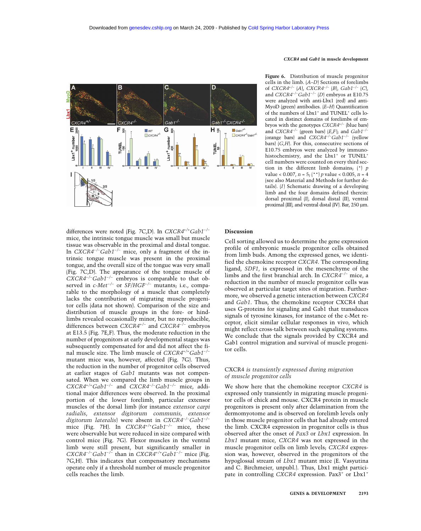

differences were noted (Fig. 7C,D). In *CXCR4+/+Gab1−/−* mice, the intrinsic tongue muscle was small but muscle tissue was observable in the proximal and distal tongue. In *CXCR4−/− Gab1−/−* mice, only a fragment of the intrinsic tongue muscle was present in the proximal tongue, and the overall size of the tongue was very small (Fig. 7C,D). The appearance of the tongue muscle of *CXCR4−/− Gab1−/−* embryos is comparable to that observed in *c-Met−/−* or *SF/HGF−/−* mutants; i.e., comparable to the morphology of a muscle that completely lacks the contribution of migrating muscle progenitor cells (data not shown). Comparison of the size and distribution of muscle groups in the fore- or hindlimbs revealed occasionally minor, but no reproducible, differences between *CXCR4+/−* and *CXCR4−/−* embryos at E13.5 (Fig. 7E,F). Thus, the moderate reduction in the number of progenitors at early developmental stages was subsequently compensated for and did not affect the final muscle size. The limb muscle of *CXCR4+/+Gab1−/−* mutant mice was, however, affected (Fig. 7G). Thus, the reduction in the number of progenitor cells observed at earlier stages of *Gab1* mutants was not compensated. When we compared the limb muscle groups in *CXCR4+/+Gab1−/−* and *CXCR4−/− Gab1−/−* mice, additional major differences were observed. In the proximal portion of the lower forelimb, particular extensor muscles of the dorsal limb (for instance *extensor carpi radialis*, *extensor digitorum communis*, *extensor digitorum lateralis*) were absent in *CXCR4−/− Gab1−/−* mice (Fig. 7H). In *CXCR4+/+Gab1−/−* mice, these were observable but were reduced in size compared with control mice (Fig. 7G). Flexor muscles in the ventral limb were still present, but significantly smaller in *CXCR4−/− Gab1−/−* than in *CXCR4+/+Gab1−/−* mice (Fig. 7G,H). This indicates that compensatory mechanisms operate only if a threshold number of muscle progenitor cells reaches the limb.

#### *CXCR4* **and** *Gab1* **in muscle development**

**Figure 6.** Distribution of muscle progenitor cells in the limb. (*A*–*D*) Sections of forelimbs of *CXCR4+/−* (*A*), *CXCR4−/−* (*B*), *Gab1−/−* (*C*), and *CXCR4−/− Gab1−/−* (*D*) embryos at E10.75 were analyzed with anti-Lbx1 (red) and anti-MyoD (green) antibodies. (*E*–*H*) Quantification of the numbers of Lbx1<sup>+</sup> and TUNEL<sup>+</sup> cells located in distinct domains of forelimbs of embryos with the genotypes *CXCR4+/−* (blue bars) and *CXCR4−/−* (green bars) (*E*,*F*); and *Gab1−/−* (orange bars) and *CXCR4−/− Gab1−/−* (yellow bars) (*G*,*H*). For this, consecutive sections of E10.75 embryos were analyzed by immunohistochemistry, and the Lbx1<sup>+</sup> or TUNEL<sup>+</sup> cell numbers were counted on every third section in the different limb domains; (\*) *p* value < 0.007, *n* = 5; (\*\*) *p* value < 0.005, *n* = 4 (see also Material and Methods for further details). (*I*) Schematic drawing of a developing limb and the four domains defined therein: dorsal proximal (I), dorsal distal (II), ventral proximal (III), and ventral distal (IV). Bar, 250 µm.

#### **Discussion**

Cell sorting allowed us to determine the gene expression profile of embryonic muscle progenitor cells obtained from limb buds. Among the expressed genes, we identified the chemokine receptor *CXCR4*. The corresponding ligand, *SDF1*, is expressed in the mesenchyme of the limbs and the first branchial arch. In *CXCR4−/−* mice, a reduction in the number of muscle progenitor cells was observed at particular target sites of migration. Furthermore, we observed a genetic interaction between *CXCR4* and *Gab1*. Thus, the chemokine receptor CXCR4 that uses G-proteins for signaling and Gab1 that transduces signals of tyrosine kinases, for instance of the c-Met receptor, elicit similar cellular responses in vivo, which might reflect cross-talk between such signaling systems. We conclude that the signals provided by CXCR4 and Gab1 control migration and survival of muscle progenitor cells.

# CXCR4 *is transiently expressed during migration of muscle progenitor cells*

We show here that the chemokine receptor *CXCR4* is expressed only transiently in migrating muscle progenitor cells of chick and mouse. CXCR4 protein in muscle progenitors is present only after delamination from the dermomyotome and is observed on forelimb levels only in those muscle progenitor cells that had already entered the limb. CXCR4 expression in progenitor cells is thus observed after the onset of *Pax3* or *Lbx1* expression. In *Lbx1* mutant mice, *CXCR4* was not expressed in the muscle progenitor cells on limb levels; *CXCR4* expression was, however, observed in the progenitors of the hypoglossal stream of *Lbx1* mutant mice (E. Vasyutina and C. Birchmeier, unpubl.). Thus, Lbx1 might participate in controlling *CXCR4* expression. Pax3<sup>+</sup> or Lbx1<sup>+</sup>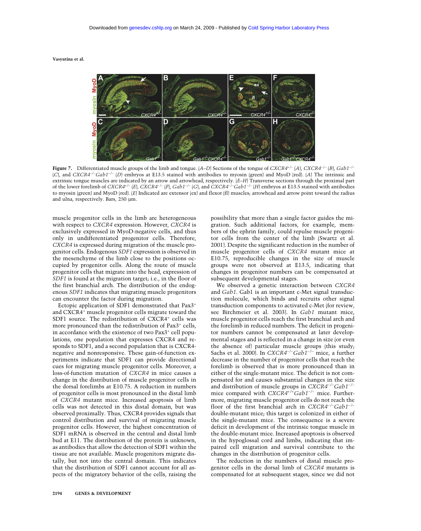

**Figure 7.** Differentiated muscle groups of the limb and tongue. (*A*–*D*) Sections of the tongue of *CXCR4+/−* (*A*), *CXCR4−/−* (*B*), *Gab1−/−* (*C*), and *CXCR4−/− Gab1−/−* (*D*) embryos at E13.5 stained with antibodies to myosin (green) and MyoD (red). (*A*) The intrinsic and extrinsic tongue muscles are indicated by an arrow and arrowhead, respectively. (*E*–*H*) Transverse sections through the proximal part of the lower forelimb of  $CXCR4^{+/}$  (E),  $CXCR4^{-/-}$  (F),  $Gab1^{-/-}$  (G), and  $CXCR4^{-/-}Gab1^{-/-}$  (H) embryos at E13.5 stained with antibodies to myosin (green) and MyoD (red). (*E*) Indicated are extensor (ex) and flexor (fl) muscles; arrowhead and arrow point toward the radius and ulna, respectively. Bars, 250 µm.

muscle progenitor cells in the limb are heterogeneous with respect to *CXCR4* expression. However, *CXCR4* is exclusively expressed in MyoD-negative cells, and thus only in undifferentiated progenitor cells. Therefore, *CXCR4* is expressed during migration of the muscle progenitor cells. Endogenous *SDF1* expression is observed in the mesenchyme of the limb close to the positions occupied by progenitor cells. Along the route of muscle progenitor cells that migrate into the head, expression of *SDF1* is found at the migration target; i.e., in the floor of the first branchial arch. The distribution of the endogenous *SDF1* indicates that migrating muscle progenitors can encounter the factor during migration.

Ectopic application of SDF1 demonstrated that Pax3<sup>+</sup> and CXCR4<sup>+</sup> muscle progenitor cells migrate toward the SDF1 source. The redistribution of CXCR4<sup>+</sup> cells was more pronounced than the redistribution of Pax3<sup>+</sup> cells, in accordance with the existence of two Pax3<sup>+</sup> cell populations, one population that expresses CXCR4 and responds to SDF1, and a second population that is CXCR4 negative and nonresponsive. These gain-of-function experiments indicate that SDF1 can provide directional cues for migrating muscle progenitor cells. Moreover, a loss-of-function mutation of *CXCR4* in mice causes a change in the distribution of muscle progenitor cells in the dorsal forelimbs at E10.75. A reduction in numbers of progenitor cells is most pronounced in the distal limb of *CXCR4* mutant mice. Increased apoptosis of limb cells was not detected in this distal domain, but was observed proximally. Thus, CXCR4 provides signals that control distribution and survival of migrating muscle progenitor cells. However, the highest concentration of SDF1 mRNA is observed in the central and distal limb bud at E11. The distribution of the protein is unknown, as antibodies that allow the detection of SDF1 within the tissue are not available. Muscle progenitors migrate distally, but not into the central domain. This indicates that the distribution of SDF1 cannot account for all aspects of the migratory behavior of the cells, raising the possibility that more than a single factor guides the migration. Such additional factors, for example, members of the ephrin family, could repulse muscle progenitor cells from the center of the limb (Swartz et al. 2001). Despite the significant reduction in the number of muscle progenitor cells of *CXCR4* mutant mice at E10.75, reproducible changes in the size of muscle groups were not observed at E13.5, indicating that changes in progenitor numbers can be compensated at subsequent developmental stages.

We observed a genetic interaction between *CXCR4* and *Gab1*. Gab1 is an important c-Met signal transduction molecule, which binds and recruits other signal transduction components to activated c-Met (for review, see Birchmeier et al. 2003). In *Gab1* mutant mice, muscle progenitor cells reach the first branchial arch and the forelimb in reduced numbers. The deficit in progenitor numbers cannot be compensated at later developmental stages and is reflected in a change in size (or even the absence of) particular muscle groups (this study; Sachs et al. 2000). In *CXCR4−/− Gab1−/−* mice, a further decrease in the number of progenitor cells that reach the forelimb is observed that is more pronounced than in either of the single-mutant mice. The deficit is not compensated for and causes substantial changes in the size and distribution of muscle groups in *CXCR4−/− Gab1−/−* mice compared with *CXCR4+/+Gab1−/−* mice. Furthermore, migrating muscle progenitor cells do not reach the floor of the first branchial arch in *CXCR4−/− Gab1−/−* double-mutant mice; this target is colonized in either of the single-mutant mice. The consequence is a severe deficit in development of the intrinsic tongue muscle in the double-mutant mice. Increased apoptosis is observed in the hypoglossal cord and limbs, indicating that impaired cell migration and survival contribute to the changes in the distribution of progenitor cells.

The reduction in the numbers of distal muscle progenitor cells in the dorsal limb of *CXCR4* mutants is compensated for at subsequent stages, since we did not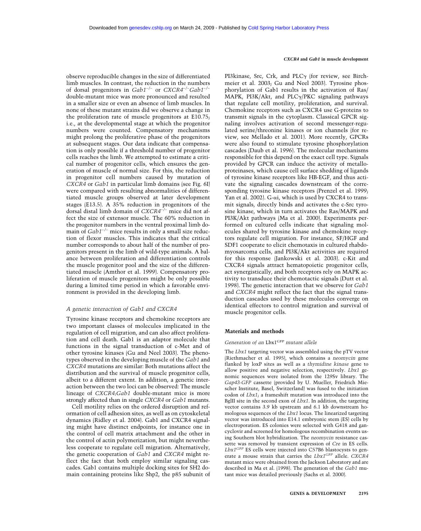#### *CXCR4* **and** *Gab1* **in muscle development**

observe reproducible changes in the size of differentiated limb muscles. In contrast, the reduction in the numbers of dorsal progenitors in *Gab1−/−* or *CXCR4−/− Gab1−/−* double-mutant mice was more pronounced and resulted in a smaller size or even an absence of limb muscles. In none of these mutant strains did we observe a change in the proliferation rate of muscle progenitors at E10.75; i.e., at the developmental stage at which the progenitor numbers were counted. Compensatory mechanisms might prolong the proliferative phase of the progenitors at subsequent stages. Our data indicate that compensation is only possible if a threshold number of progenitor cells reaches the limb. We attempted to estimate a critical number of progenitor cells, which ensures the generation of muscle of normal size. For this, the reduction in progenitor cell numbers caused by mutation of *CXCR4* or *Gab1* in particular limb domains (see Fig. 6I) were compared with resulting abnormalities of differentiated muscle groups observed at later development stages (E13.5). A 35% reduction in progenitors of the dorsal distal limb domain of *CXCR4−/−* mice did not affect the size of extensor muscle. The 60% reduction in the progenitor numbers in the ventral proximal limb domain of *Gab1−/−* mice results in only a small size reduction of flexor muscles. This indicates that the critical number corresponds to about half of the number of progenitors present in the limb of wild-type animals. A balance between proliferation and differentiation controls the muscle progenitor pool and the size of the differentiated muscle (Amthor et al. 1999). Compensatory proliferation of muscle progenitors might be only possible during a limited time period in which a favorable environment is provided in the developing limb.

#### *A genetic interaction of Gab1 and CXCR4*

Tyrosine kinase receptors and chemokine receptors are two important classes of molecules implicated in the regulation of cell migration, and can also affect proliferation and cell death. Gab1 is an adaptor molecule that functions in the signal transduction of c-Met and of other tyrosine kinases (Gu and Neel 2003). The phenotypes observed in the developing muscle of the *Gab1* and *CXCR4* mutations are similar: Both mutations affect the distribution and the survival of muscle progenitor cells, albeit to a different extent. In addition, a genetic interaction between the two loci can be observed: The muscle lineage of *CXCR4;Gab1* double-mutant mice is more strongly affected than in single *CXCR4* or *Gab1* mutants.

Cell motility relies on the ordered disruption and reformation of cell adhesion sites, as well as on cytoskeletal dynamics (Ridley et al. 2004). Gab1 and CXCR4 signaling might have distinct endpoints, for instance one in the control of cell matrix attachment and the other in the control of actin polymerization, but might nevertheless cooperate to regulate cell migration. Alternatively, the genetic cooperation of *Gab1* and *CXCR4* might reflect the fact that both employ similar signaling cascades. Gab1 contains multiple docking sites for SH2 domain containing proteins like Shp2, the p85 subunit of

PI3kinase, Src, Crk, and PLC $\gamma$  (for review, see Birchmeier et al. 2003; Gu and Neel 2003). Tyrosine phosphorylation of Gab1 results in the activation of Ras/ MAPK, PI3K/Akt, and PLCγ/PKC signaling pathways that regulate cell motility, proliferation, and survival. Chemokine receptors such as CXCR4 use G-proteins to transmit signals in the cytoplasm. Classical GPCR signaling involves activation of second messenger-regulated serine/threonine kinases or ion channels (for review, see Mellado et al. 2001). More recently, GPCRs were also found to stimulate tyrosine phosphorylation cascades (Daub et al. 1996). The molecular mechanisms responsible for this depend on the exact cell type. Signals provided by GPCR can induce the activity of metalloproteinases, which cause cell surface shedding of ligands of tyrosine kinase receptors like HB-EGF, and thus activate the signaling cascades downstream of the corresponding tyrosine kinase receptors (Prenzel et al. 1999; Yan et al. 2002). G- $\alpha i$ , which is used by CXCR4 to transmit signals, directly binds and activates the c-Src tyrosine kinase, which in turn activates the Ras/MAPK and PI3K/Akt pathways (Ma et al. 2000). Experiments performed on cultured cells indicate that signaling molecules shared by tyrosine kinase and chemokine receptors regulate cell migration. For instance, SF/HGF and SDF1 cooperate to elicit chemotaxis in cultured rhabdomyosarcoma cells, and PI3K/Akt activities are required for this response (Jankowski et al. 2003). c-Kit and CXCR4 signals attract hematopoietic progenitor cells, act synergistically, and both receptors rely on MAPK activity to transduce their chemotactic signals (Dutt et al. 1998). The genetic interaction that we observe for *Gab1* and *CXCR4* might reflect the fact that the signal transduction cascades used by these molecules converge on identical effectors to control migration and survival of muscle progenitor cells.

#### **Materials and methods**

#### *Generation of an* Lbx1GFP *mutant allele*

The *Lbx1* targeting vector was assembled using the pTV vector (Riethmacher et al. 1995), which contains a *neomycin* gene flanked by loxP sites as well as a *thymidine kinase* gene to allow positive and negative selection, respectively. *Lbx1* genomic sequences were isolated from the 129Sv library. The *Gap43-GFP* cassette (provided by U. Mueller, Friedrich Miescher Institute, Basel, Switzerland) was fused to the initiation codon of *Lbx1*; a frameshift mutation was introduced into the BglII site in the second exon of *Lbx1*. In addition, the targeting vector contains 3.9 kb upstream and 6.1 kb downstream homologous sequences of the *Lbx1* locus. The linearized targeting vector was introduced into E14.1 embryonic stem (ES) cells by electroporation. ES colonies were selected with G418 and gancyclovir and screened for homologous recombination events using Southern blot hybridization. The *neomycin* resistance cassette was removed by transient expression of *Cre* in ES cells. *Lbx1GFP* ES cells were injected into C57B6 blastocysts to generate a mouse strain that carries the *Lbx1GFP* allele. *CXCR4* mutant mice were obtained from the Jackson Laboratory and are described in Ma et al. (1998). The generation of the *Gab1* mutant mice was detailed previously (Sachs et al. 2000).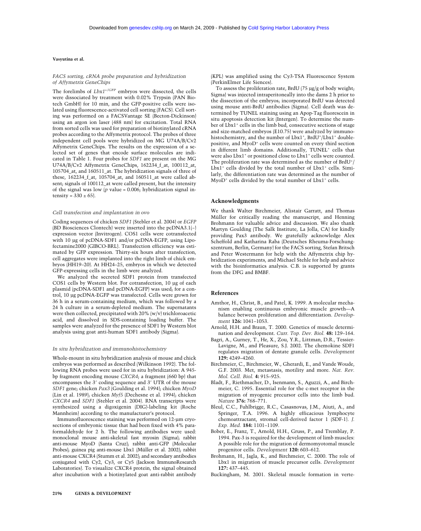#### *FACS sorting, cRNA probe preparation and hybridization of Affymetrix GeneChips*

The forelimbs of *Lbx1+/GFP* embryos were dissected, the cells were dissociated by treatment with 0.02% Trypsin (PAN Biotech GmbH) for 10 min, and the GFP-positive cells were isolated using fluorescence-activated cell sorting (FACS). Cell sorting was performed on a FACSVantage SE (Becton-Dickinson) using an argon ion laser (488 nm) for excitation. Total RNA from sorted cells was used for preparation of biotinylated cRNA probes according to the Affymetrix protocol. The probes of three independent cell pools were hybridized on MG U74A/B/Cv2 Affymetrix GeneChips. The results on the expression of a selected set of genes that encode surface molecules are indicated in Table 1. Four probes for *SDF1* are present on the MG U74A/B/Cv2 Affymetrix GeneChips, 162234\_f\_at, 100112\_at, 105704\_at, and 160511\_at. The hybridization signals of three of these, 162234\_f\_at, 105704\_at, and 160511\_at were called absent; signals of 100112\_at were called present, but the intensity of the signal was low  $(p \text{ value} = 0.006; \text{ hybridization signal in-}$ tensity =  $330 \pm 65$ .

#### *Cell transfection and implantation in ovo*

Coding sequences of chicken *SDF1* (Stebler et al. 2004) or *EGFP* (BD Biosciences Clontech) were inserted into the pcDNA3.1(−) expression vector (Invitrogen). COS1 cells were cotransfected with 10 µg of pcDNA-SDF1 and/or pcDNA-EGFP, using Lipofectamine2000 (GIBCO-BRL). Transfection efficiency was estimated by GFP expression. Thirty-six hours after transfection, cell aggregates were implanted into the right limb of chick embryos (HH19–20). At HH24–25, embryos in which we detected GFP-expressing cells in the limb were analyzed.

We analyzed the secreted SDF1 protein from transfected COS1 cells by Western blot. For cotransfection, 10 µg of each plasmid (pcDNA-SDF1 and pcDNA-EGFP) was used; for a control, 10 µg pcDNA-EGFP was transfected. Cells were grown for 36 h in a serum-containing medium, which was followed by a 24 h culture in a serum-depleted medium. The supernatants were then collected, precipitated with 20% (w/v) trichloroacetic acid, and dissolved in SDS-containing loading buffer. The samples were analyzed for the presence of SDF1 by Western blot analysis using goat anti-human SDF1 antibody (Sigma).

#### *In situ hybridization and immunohistochemistry*

Whole-mount in situ hybridization analysis of mouse and chick embryos was performed as described (Wilkinson 1992). The following RNA probes were used for in situ hybridization: A 945 bp fragment encoding mouse *CXCR4*; a fragment (660 bp) that encompasses the 3' coding sequence and 3' UTR of the mouse *SDF1* gene; chicken *Pax3* (Goulding et al. 1994); chicken *MyoD* (Lin et al. 1989); chicken *Myf5* (Dechesne et al. 1994); chicken *CXCR4* and *SDF1* (Stebler et al. 2004). RNA transcripts were synthesized using a digoxigenin (DIG)-labeling kit (Roche Mannheim) according to the manufacturer's protocol.

Immunofluorescence staining was performed on 12-µm cryosections of embryonic tissue that had been fixed with 4% paraformaldehyde for 2 h. The following antibodies were used: monoclonal mouse anti-skeletal fast myosin (Sigma); rabbit anti-mouse MyoD (Santa Cruz); rabbit anti-GFP (Molecular Probes); guinea pig anti-mouse Lbx1 (Müller et al. 2002); rabbit anti-mouse CXCR4 (Stumm et al. 2002); and secondary antibodies conjugated with Cy2, Cy3, or Cy5 (Jackson ImmunoResearch Laboratories). To visualize CXCR4 protein, the signal obtained after incubation with a biotinylated goat anti-rabbit antibody (KPL) was amplified using the Cy3-TSA Fluorescence System (PerkinElmer Life Siences).

To assess the proliferation rate, BrdU (75 µg/g of body weight; Sigma) was injected intraperitoneally into the dams 2 h prior to the dissection of the embryos; incorporated BrdU was detected using mouse anti-BrdU antibodies (Sigma). Cell death was determined by TUNEL staining using an Apop-Tag fluorescein in situ apoptosis detection kit (Intergen). To determine the number of Lbx1<sup>+</sup> cells in the limb bud, consecutive sections of stage and size-matched embryos (E10.75) were analyzed by immunohistochemistry, and the number of Lbx1+, BrdU+/Lbx1+ doublepositive, and MyoD<sup>+</sup> cells were counted on every third section in different limb domains. Additionally, TUNEL<sup>+</sup> cells that were also Lbx1<sup>+</sup> or positioned close to Lbx1<sup>+</sup> cells were counted. The proliferation rate was determined as the number of  $BrdU^{+}/$ Lbx1<sup>+</sup> cells divided by the total number of Lbx1<sup>+</sup> cells. Similarly, the differentiation rate was determined as the number of  $MyoD<sup>+</sup>$  cells divided by the total number of  $Lbx1<sup>+</sup>$  cells.

#### **Acknowledgments**

We thank Walter Birchmeier, Alistair Garratt, and Thomas Müller for critically reading the manuscript, and Henning Brohmann for valuable advice and discussion. We also thank Martyn Goulding (The Salk Institute, La Jolla, CA) for kindly providing Pax3 antibody. We gratefully acknowledge Alex Scheffold and Katharina Raba (Deutsches Rheuma-Forschungszentrum, Berlin, Germany) for the FACS sorting, Stefan Britsch and Peter Westermann for help with the Affymetrix chip hybridization experiments, and Michael Stehle for help and advice with the bioinformatics analysis. C.B. is supported by grants from the DFG and BMBF.

#### **References**

- Amthor, H., Christ, B., and Patel, K. 1999. A molecular mechanism enabling continuous embryonic muscle growth—A balance between proliferation and differentiation. *Development* **126:** 1041–1053.
- Arnold, H.H. and Braun, T. 2000. Genetics of muscle determination and development. *Curr. Top. Dev. Biol.* **48:** 129–164.
- Bagri, A., Gurney, T., He, X., Zou, Y.R., Littman, D.R., Tessier-Lavigne, M., and Pleasure, S.J. 2002. The chemokine SDF1 regulates migration of dentate granule cells. *Development* **129:** 4249–4260.
- Birchmeier, C., Birchmeier, W., Gherardi, E., and Vande Woude, G.F. 2003. Met, metastasis, motility and more. *Nat. Rev. Mol. Cell. Biol.* **4:** 915–925.
- Bladt, F., Riethmacher, D., Isenmann, S., Aguzzi, A., and Birchmeier, C. 1995. Essential role for the c-met receptor in the migration of myogenic precursor cells into the limb bud. *Nature* **376:** 768–771.
- Bleul, C.C., Fuhlbrigge, R.C., Casasnovas, J.M., Aiuti, A., and Springer, T.A. 1996. A highly efficacious lymphocyte chemoattractant, stromal cell-derived factor 1 (SDF-1). *J. Exp. Med.* **184:** 1101–1109.
- Bober, E., Franz, T., Arnold, H.H., Gruss, P., and Tremblay, P. 1994. Pax-3 is required for the development of limb muscles: A possible role for the migration of dermomyotomal muscle progenitor cells. *Development* **120:** 603–612.
- Brohmann, H., Jagla, K., and Birchmeier, C. 2000. The role of Lbx1 in migration of muscle precursor cells. *Development* **127:** 437–445.
- Buckingham, M. 2001. Skeletal muscle formation in verte-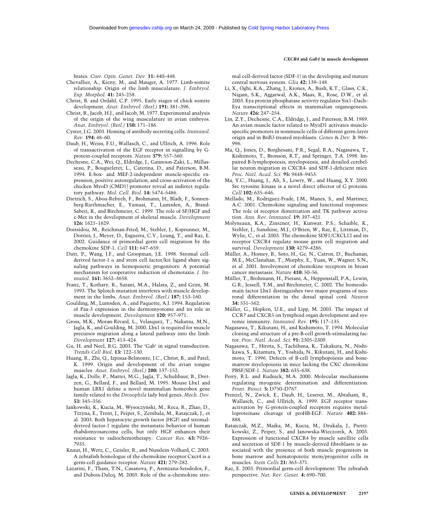#### *CXCR4* **and** *Gab1* **in muscle development**

brates. *Curr. Opin. Genet. Dev.* **11:** 440–448.

- Chevallier, A., Kieny, M., and Mauger, A. 1977. Limb-somite relationship: Origin of the limb musculature. *J. Embryol. Exp. Morphol.* **41:** 245–258.
- Christ, B. and Ordahl, C.P. 1995. Early stages of chick somite development. *Anat. Embryol. (Berl.)* **191:** 381–396.
- Christ, B., Jacob, H.J., and Jacob, M. 1977. Experimental analysis of the origin of the wing musculature in avian embryos. *Anat. Embryol. (Berl.)* **150:** 171–186.
- Cyster, J.G. 2003. Homing of antibody secreting cells. *Immunol. Rev.* **194:** 48–60.
- Daub, H., Weiss, F.U., Wallasch, C., and Ullrich, A. 1996. Role of transactivation of the EGF receptor in signalling by Gprotein-coupled receptors. *Nature* **379:** 557–560.
- Dechesne, C.A., Wei, Q., Eldridge, J., Gannoun-Zaki, L., Millasseau, P., Bougueleret, L., Caterina, D., and Paterson, B.M. 1994. E-box- and MEF-2-independent muscle-specific expression, positive autoregulation, and cross-activation of the chicken MyoD (CMD1) promoter reveal an indirect regulatory pathway. *Mol. Cell. Biol.* **14:** 5474–5486.
- Dietrich, S., Abou-Rebyeh, F., Brohmann, H., Bladt, F., Sonnenberg-Riethmacher, E., Yamaai, T., Lumsden, A., Brand-Saberi, B., and Birchmeier, C. 1999. The role of SF/HGF and c-Met in the development of skeletal muscle. *Development* **126:** 1621–1629.
- Doitsidou, M., Reichman-Fried, M., Stebler, J., Koprunner, M., Dorries, J., Meyer, D., Esguerra, C.V., Leung, T., and Raz, E. 2002. Guidance of primordial germ cell migration by the chemokine SDF-1. *Cell* **111:** 647–659.
- Dutt, P., Wang, J.F., and Groopman, J.E. 1998. Stromal cellderived factor-1  $\alpha$  and stem cell factor/kit ligand share signaling pathways in hemopoietic progenitors: A potential mechanism for cooperative induction of chemotaxis. *J. Immunol.* **161:** 3652–3658.
- Franz, T., Kothary, R., Surani, M.A., Halata, Z., and Grim, M. 1993. The Splotch mutation interferes with muscle development in the limbs. *Anat. Embryol. (Berl.)* **187:** 153–160.
- Goulding, M., Lumsden, A., and Paquette, A.J. 1994. Regulation of Pax-3 expression in the dermomyotome and its role in muscle development. *Development* **120:** 957–971.
- Gross, M.K., Moran-Rivard, L., Velasquez, T., Nakatsu, M.N., Jagla, K., and Goulding, M. 2000. Lbx1 is required for muscle precursor migration along a lateral pathway into the limb. *Development* **127:** 413–424.
- Gu, H. and Neel, B.G. 2003. The 'Gab' in signal transduction. *Trends Cell Biol.* **13:** 122–130.
- Huang, R., Zhi, Q., Izpisua-Belmonte, J.C., Christ, B., and Patel, K. 1999. Origin and development of the avian tongue muscles. *Anat. Embryol. (Berl.)* **200:** 137–152.
- Jagla, K., Dolle, P., Mattei, M.G., Jagla, T., Schuhbaur, B., Dretzen, G., Bellard, F., and Bellard, M. 1995. Mouse Lbx1 and human LBX1 define a novel mammalian homeobox gene family related to the *Drosophila* lady bird genes. *Mech. Dev.* **53:** 345–356.
- Jankowski, K., Kucia, M., Wysoczynski, M., Reca, R., Zhao, D., Trzyna, E., Trent, J., Peiper, S., Zembala, M., Ratajczak, J., et al. 2003. Both hepatocyte growth factor (HGF) and stromalderived factor-1 regulate the metastatic behavior of human rhabdomyosarcoma cells, but only HGF enhances their resistance to radiochemotherapy. *Cancer Res.* **63:** 7926– 7935.
- Knaut, H., Werz, C., Geisler, R., and Nusslein-Volhard, C. 2003. A zebrafish homologue of the chemokine receptor Cxcr4 is a germ-cell guidance receptor. *Nature* **421:** 279–282.
- Lazarini, F., Tham, T.N., Casanova, P., Arenzana-Seisdedos, F., and Dubois-Dalcq, M. 2003. Role of the  $\alpha$ -chemokine stro-

mal cell-derived factor (SDF-1) in the developing and mature central nervous system. *Glia* **42:** 139–148.

- Li, X., Oghi, K.A., Zhang, J., Krones, A., Bush, K.T., Glass, C.K., Nigam, S.K., Aggarwal, A.K., Maas, R., Rose, D.W., et al. 2003. Eya protein phosphatase activity regulates Six1–Dach– Eya transcriptional effects in mammalian organogenesis. *Nature* **426:** 247–254.
- Lin, Z.Y., Dechesne, C.A., Eldridge, J., and Paterson, B.M. 1989. An avian muscle factor related to MyoD1 activates musclespecific promoters in nonmuscle cells of different germ-layer origin and in BrdU-treated myoblasts. *Genes* & *Dev.* **3:** 986– 996.
- Ma, Q., Jones, D., Borghesani, P.R., Segal, R.A., Nagasawa, T., Kishimoto, T., Bronson, R.T., and Springer, T.A. 1998. Impaired B-lymphopoiesis, myelopoiesis, and derailed cerebellar neuron migration in CXCR4- and SDF-1-deficient mice. *Proc. Natl. Acad. Sci.* **95:** 9448–9453.
- Ma, Y.C., Huang, J., Ali, S., Lowry, W., and Huang, X.Y. 2000. Src tyrosine kinase is a novel direct effector of G proteins. *Cell* **102:** 635–646.
- Mellado, M., Rodriguez-Frade, J.M., Manes, S., and Martinez, A.C. 2001. Chemokine signaling and functional responses: The role of receptor dimerization and TK pathway activation. *Ann. Rev. Immunol.* **19:** 397–421.
- Molyneaux, K.A., Zinszner, H., Kunwar, P.S., Schaible, K., Stebler, J., Sunshine, M.J., O'Brien, W., Raz, E., Littman, D., Wylie, C., et al. 2003. The chemokine SDF1/CXCL12 and its receptor CXCR4 regulate mouse germ cell migration and survival. *Development* **130:** 4279–4286.
- Müller, A., Homey, B., Soto, H., Ge, N., Catron, D., Buchanan, M.E., McClanahan, T., Murphy, E., Yuan, W., Wagner, S.N., et al. 2001. Involvement of chemokine receptors in breast cancer metastasis. *Nature* **410:** 50–56.
- Müller, T., Brohmann, H., Pierani, A., Heppenstall, P.A., Lewin, G.R., Jessell, T.M., and Birchmeier, C. 2002. The homeodomain factor Lbx1 distinguishes two major programs of neuronal differentiation in the dorsal spinal cord. *Neuron* **34:** 551–562.
- Müller, G., Hopken, U.E., and Lipp, M. 2003. The impact of CCR7 and CXCR5 on lymphoid organ development and systemic immunity. *Immunol. Rev.* **195:** 117–135.
- Nagasawa, T., Kikutani, H., and Kishimoto, T. 1994. Molecular cloning and structure of a pre-B-cell growth-stimulating factor. *Proc. Natl. Acad. Sci.* **91:** 2305–2309.
- Nagasawa, T., Hirota, S., Tachibana, K., Takakura, N., Nishikawa, S., Kitamura, Y., Yoshida, N., Kikutani, H., and Kishimoto, T. 1996. Defects of B-cell lymphopoiesis and bonemarrow myelopoiesis in mice lacking the CXC chemokine PBSF/SDF-1. *Nature* **382:** 635–638.
- Perry, R.L. and Rudnick, M.A. 2000. Molecular mechanisms regulating myogenic determination and differentiation. *Front. Biosci.* **5:** D750–D767.
- Prenzel, N., Zwick, E., Daub, H., Leserer, M., Abraham, R., Wallasch, C., and Ullrich, A. 1999. EGF receptor transactivation by G-protein-coupled receptors requires metalloproteinase cleavage of proHB-EGF. *Nature* **402:** 884– 888.
- Ratajczak, M.Z., Majka, M., Kucia, M., Drukala, J., Pietrzkowski, Z., Peiper, S., and Janowska-Wieczorek, A. 2003. Expression of functional CXCR4 by muscle satellite cells and secretion of SDF-1 by muscle-derived fibroblasts is associated with the presence of both muscle progenitors in bone marrow and hematopoietic stem/progenitor cells in muscles. *Stem Cells* **21:** 363–371.
- Raz, E. 2003. Primordial germ-cell development: The zebrafish perspective. *Nat. Rev. Genet.* **4:** 690–700.